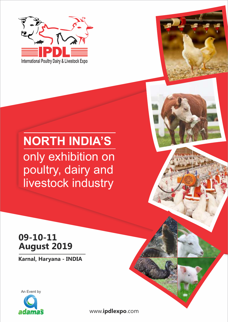



# **NORTH INDIA'S** only exhibition on poultry, dairy and livestock industry

# **09-10-11 August 2019**

**Karnal, Haryana - INDIA**



www.**ipdlexpo**.com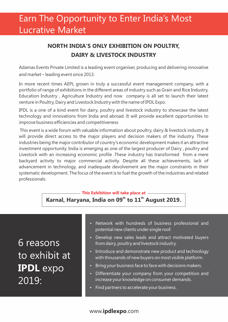# Earn The Opportunity to Enter India's Most Lucrative Market

### **NORTH INDIA'S ONLY EXHIBITION ON POULTRY, DAIRY & LIVESTOCK INDUSTRY**

Adamas Events Private Limited is a leading event organiser, producing and delivering innovative and market – leading event since 2013.

In more recent times AEPL grown in truly a successful event management company, with a portfolio of range of exhibitions in the different areas of industry such as Grain and Rice Industry, Education Industry , Agriculture Industry and now company is all set to launch their latest venture in Poultry, Dairy and Livestock Industry with the name of IPDL Expo.

IPDL is a one of a kind event for dairy, poultry and livestock industry to showcase the latest technology and innovations from India and abroad. It will provide excellent opportunities to improve business efficiencies and competitiveness

This event is a wide forum with valuable information about poultry, dairy & livestock industry. It will provide direct access to the major players and decision makers of the industry. These industries being the major contributor of country's economic development makes it an attractive investment opportunity. India is emerging as one of the largest producer of Dairy , poultry and Livestock with an increasing economic profile .These industry has transformed from a mere backyard activity to major commercial activity. Despite all these achievements, lack of advancement in technology, and inadequate devolvement are the major constraints in their systematic development. The focus of the event is to fuel the growth of the industries and related professionals.

### **This Exhibition will take place at** Karnal, Haryana, India on 09<sup>th</sup> to 11<sup>th</sup> August 2019.

6 reasons to exhibit at **IPDL** expo 2019:

- Network with hundreds of business professional and potential new clients under single roof.
- Develop new sales leads and attract motivated buyers from dairy, poultry and livestock industry.
- Introduce and demonstrate new product and technology with thousands of new buyers on most visible platform.
- Bring your business face to face with decisions makers.
- Differentiate your company from your competition and increase your knowledge on consumer demands.
- Find partners to accelerate your business.

#### www.**ipdlexpo**.com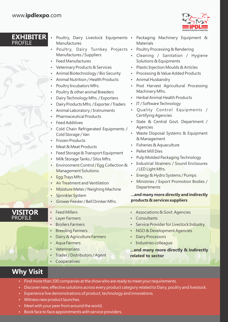**EXHIBITER**



| <b>PROFILE</b>                   | Manufactures<br>Poultry, Dairy Turnkey Projects .<br>Manufactures / Suppliers<br><b>Feed Manufactures</b><br>Veterinary Products & Services<br>٠<br>Animal Biotechnology / Bio Security<br>٠<br>Animal Nutrition / Health Products<br>$\bullet$<br>Poultry Incubators Mfrs.<br>$\bullet$                                                                                                                                                                                                                                                               | <b>EXFIIBITER</b> • Poultry, Dairy Livestock Equipments • Packaging Machinery Equipment &<br><b>Materials</b><br>Poultry Processing & Rendering<br>Cleaning / Sanitation / Hygiene<br>$\bullet$<br>Solutions & Equipments<br>Plastic Injection Moulds & Articles<br>$\bullet$<br>Processing & Value Added Products<br>$\bullet$<br>Animal Husbandry<br>Post Harvest Agricultural Processing<br>$\bullet$                                                                                                           |
|----------------------------------|--------------------------------------------------------------------------------------------------------------------------------------------------------------------------------------------------------------------------------------------------------------------------------------------------------------------------------------------------------------------------------------------------------------------------------------------------------------------------------------------------------------------------------------------------------|--------------------------------------------------------------------------------------------------------------------------------------------------------------------------------------------------------------------------------------------------------------------------------------------------------------------------------------------------------------------------------------------------------------------------------------------------------------------------------------------------------------------|
|                                  | Poultry & other animal Breeders<br>$\bullet$<br>Dairy Technology Mfrs. / Exporters<br>$\bullet$<br>Dairy Products Mfrs. / Exporter / Traders<br>٠<br>Animal Laboratory / Instruments<br>٠<br><b>Pharmaceutical Products</b><br><b>Feed Additives</b><br>Cold Chain Refrigerated Equipments /<br>Cold Storage / Van<br><b>Frozen Products</b><br>Meat & Meat Products<br>Feed Storage & Transport Equipment<br>Milk Storage Tanks / Silos Mfrs.<br>$\bullet$<br>Environment Control / Egg Collection &<br>Management Solutions.<br>Egg Trays Mfrs.<br>٠ | Machinery Mfrs.<br>Herbal Animal Health Products<br>IT / Software Technology<br>$\bullet$<br>Quality Control Equipments /<br><b>Certifying Agencies</b><br>State & Central Govt. Department /<br>Agencies<br>Waste Disposal Systems & Equipment<br>& Management<br>Fisheries & Aquaculture<br>Pellet Mill Dies<br>Pulp Molded Packaging Technology<br><b>Industrial Strainers / Sound Enclosures</b><br>/ LED Light Mfrs.<br>Energy & Hydro Systems / Pumps<br>$\bullet$<br>Ministries / Export Promotion Bodies / |
|                                  | <b>Air Treatment and Ventilation</b><br>Moisture Meter / Neighing Machine<br>$\bullet$<br>Sprinkler System<br>$\bullet$<br>Grower Feeder / Bell Drinker Mfrs.                                                                                                                                                                                                                                                                                                                                                                                          | Departments<br>and many more directly and indirectly<br>products & services suppliers                                                                                                                                                                                                                                                                                                                                                                                                                              |
| <b>VISITOR</b><br><b>PROFILE</b> | <b>Feed Millers</b><br><b>Layer Farmers</b><br><b>Broilers Farmers</b><br><b>Breeding Farmers</b><br>Dairy & Agriculture Farmers<br><b>Aqua Farmers</b><br>Veterinarians<br>Trader / Distributors / Agent<br>Cooperatives                                                                                                                                                                                                                                                                                                                              | Associations & Govt. Agencies<br>Consultants<br>Service Provider for Livestock Industry<br>NGO & Development Agencies<br><b>Dairy Processors</b><br>Industries colleague<br>and many more directly & indirectly<br>related to sector                                                                                                                                                                                                                                                                               |

## **Why Visit**

- Find more than 100 companies at the show who are ready to meet your requirements.
- Discover new, effective solutions across every product category related to Dairy, poultry and livestock.
- Experience live demonstrations of product, technology and innovations.
- Witness new product launches.
- Meet with your peer from around the world.
- Book face to face appointments with service providers.